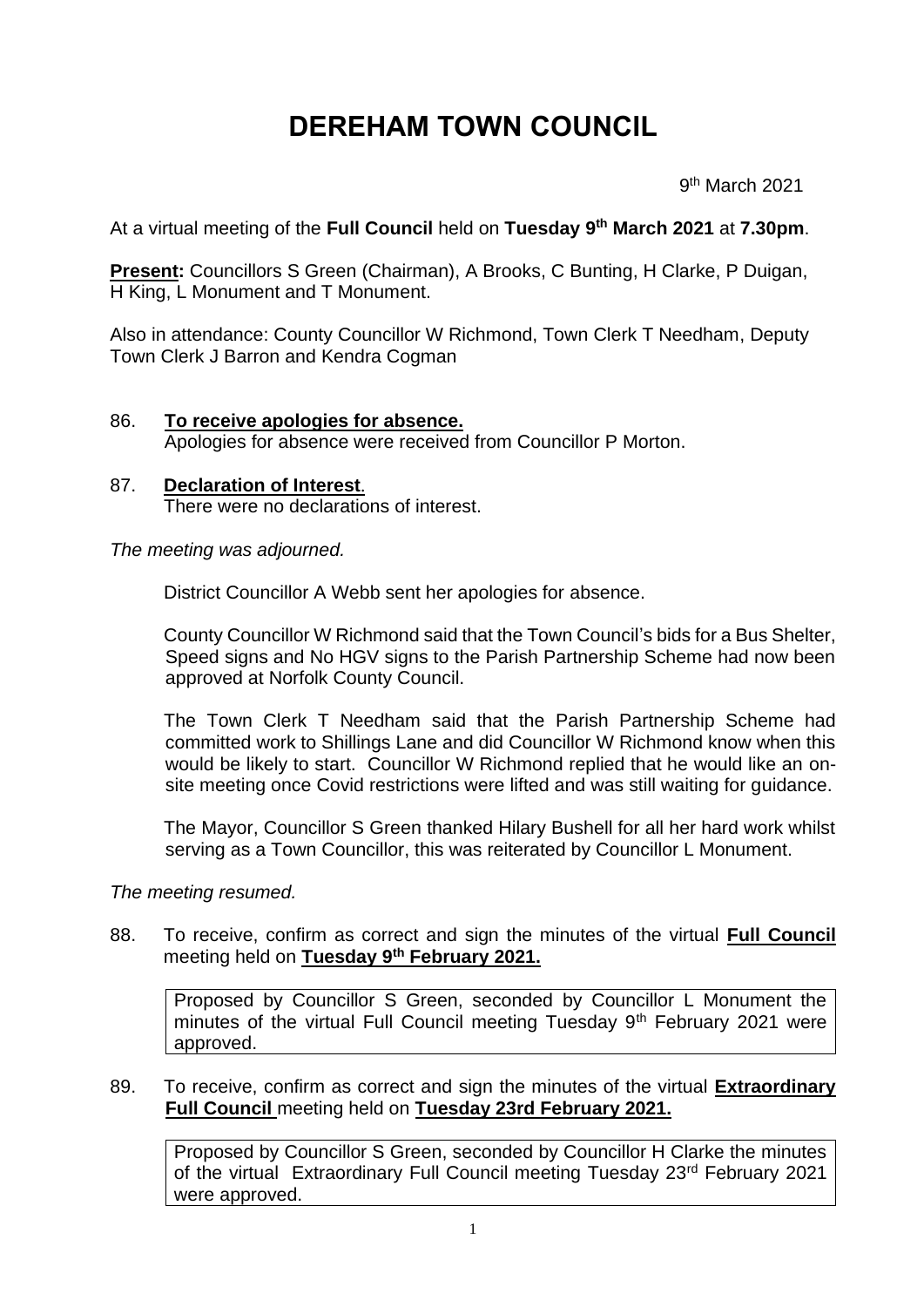# **DEREHAM TOWN COUNCIL**

 9 9<sup>th</sup> March 2021

At a virtual meeting of the **Full Council** held on **Tuesday 9 th March 2021** at **7.30pm**.

**Present:** Councillors S Green (Chairman), A Brooks, C Bunting, H Clarke, P Duigan, H King, L Monument and T Monument.

Also in attendance: County Councillor W Richmond, Town Clerk T Needham, Deputy Town Clerk J Barron and Kendra Cogman

- 86. **To receive apologies for absence.** Apologies for absence were received from Councillor P Morton.
- 87. **Declaration of Interest**. There were no declarations of interest.

*The meeting was adjourned.*

District Councillor A Webb sent her apologies for absence.

County Councillor W Richmond said that the Town Council's bids for a Bus Shelter, Speed signs and No HGV signs to the Parish Partnership Scheme had now been approved at Norfolk County Council.

The Town Clerk T Needham said that the Parish Partnership Scheme had committed work to Shillings Lane and did Councillor W Richmond know when this would be likely to start. Councillor W Richmond replied that he would like an onsite meeting once Covid restrictions were lifted and was still waiting for guidance.

The Mayor, Councillor S Green thanked Hilary Bushell for all her hard work whilst serving as a Town Councillor, this was reiterated by Councillor L Monument.

*The meeting resumed.*

88. To receive, confirm as correct and sign the minutes of the virtual **Full Council**  meeting held on **Tuesday 9th February 2021.**

Proposed by Councillor S Green, seconded by Councillor L Monument the minutes of the virtual Full Council meeting Tuesday 9<sup>th</sup> February 2021 were approved.

## 89. To receive, confirm as correct and sign the minutes of the virtual **Extraordinary Full Council** meeting held on **Tuesday 23rd February 2021.**

Proposed by Councillor S Green, seconded by Councillor H Clarke the minutes of the virtual Extraordinary Full Council meeting Tuesday 23rd February 2021 were approved.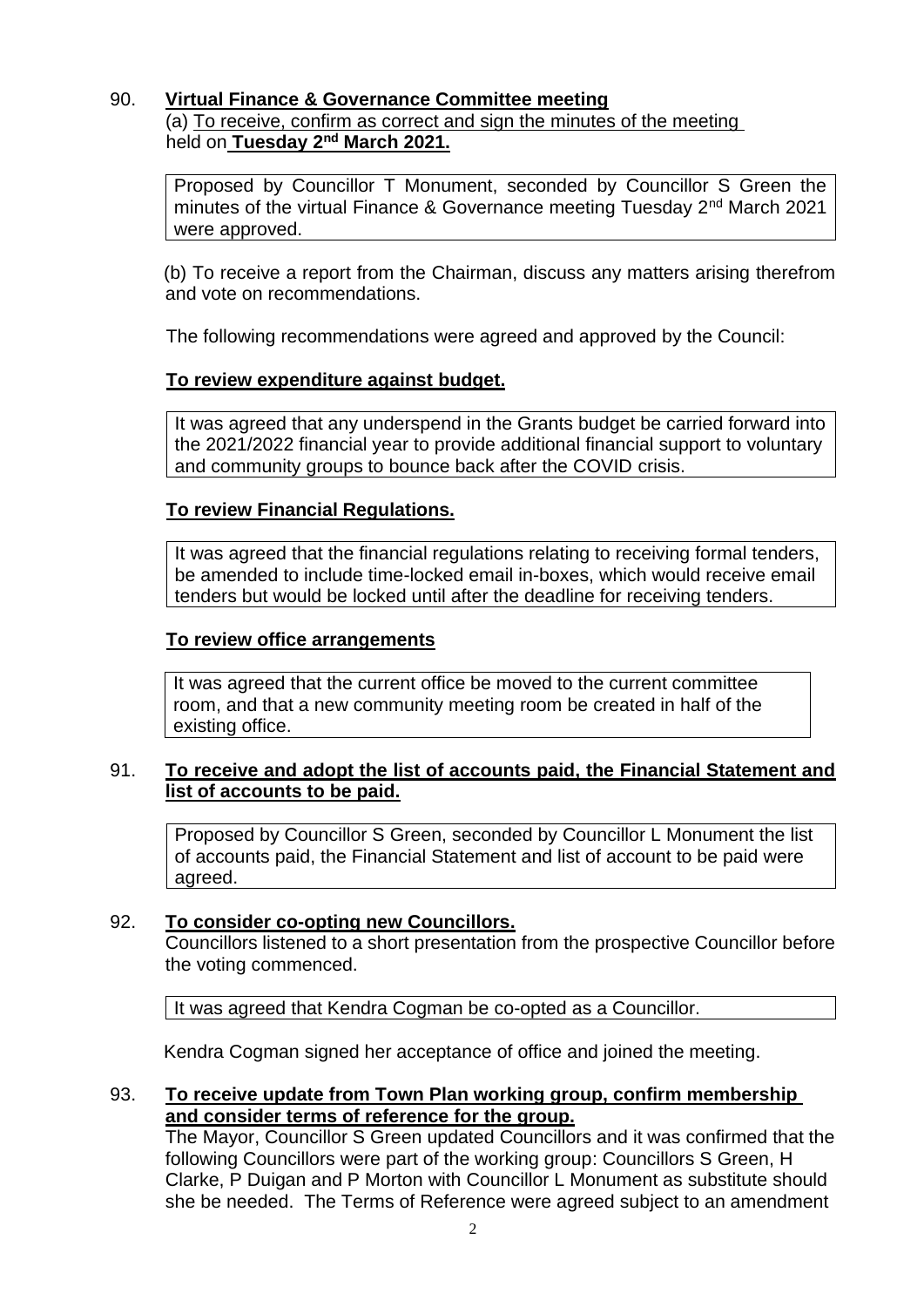# 90. **Virtual Finance & Governance Committee meeting**

(a) To receive, confirm as correct and sign the minutes of the meeting held on **Tuesday 2nd March 2021.**

Proposed by Councillor T Monument, seconded by Councillor S Green the minutes of the virtual Finance & Governance meeting Tuesday 2<sup>nd</sup> March 2021 were approved.

(b) To receive a report from the Chairman, discuss any matters arising therefrom and vote on recommendations.

The following recommendations were agreed and approved by the Council:

## **To review expenditure against budget.**

It was agreed that any underspend in the Grants budget be carried forward into the 2021/2022 financial year to provide additional financial support to voluntary and community groups to bounce back after the COVID crisis.

## **To review Financial Regulations.**

It was agreed that the financial regulations relating to receiving formal tenders, be amended to include time-locked email in-boxes, which would receive email tenders but would be locked until after the deadline for receiving tenders.

## **To review office arrangements**

It was agreed that the current office be moved to the current committee room, and that a new community meeting room be created in half of the existing office.

## 91. **To receive and adopt the list of accounts paid, the Financial Statement and list of accounts to be paid.**

Proposed by Councillor S Green, seconded by Councillor L Monument the list of accounts paid, the Financial Statement and list of account to be paid were agreed.

## 92. **To consider co-opting new Councillors.**

Councillors listened to a short presentation from the prospective Councillor before the voting commenced.

It was agreed that Kendra Cogman be co-opted as a Councillor.

Kendra Cogman signed her acceptance of office and joined the meeting.

## 93. **To receive update from Town Plan working group, confirm membership and consider terms of reference for the group.**

The Mayor, Councillor S Green updated Councillors and it was confirmed that the following Councillors were part of the working group: Councillors S Green, H Clarke, P Duigan and P Morton with Councillor L Monument as substitute should she be needed. The Terms of Reference were agreed subject to an amendment